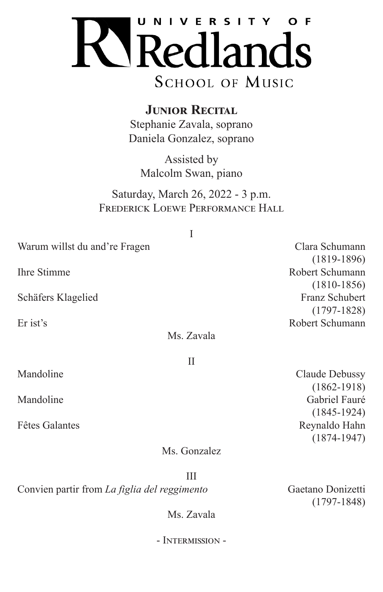

**JUNIOR RECITAL** Stephanie Zavala, soprano Daniela Gonzalez, soprano

Assisted by Malcolm Swan, piano

Saturday, March 26, 2022 - 3 p.m. FREDERICK LOEWE PERFORMANCE HALL

| Warum willst du and're Fragen |            | Clara Schumann  |
|-------------------------------|------------|-----------------|
|                               |            | $(1819-1896)$   |
| <b>Ihre Stimme</b>            |            | Robert Schumann |
|                               |            | $(1810-1856)$   |
| Schäfers Klagelied            |            | Franz Schubert  |
|                               |            | $(1797-1828)$   |
| Er ist's                      |            | Robert Schumann |
|                               | Ms. Zavala |                 |
|                               | Н          |                 |
| Mandoline                     |            | Claude Debussy  |
|                               |            | $(1862 - 1918)$ |
| Mandoline                     |            | Gabriel Fauré   |
|                               |            | $(1845-1924)$   |

Ms. Gonzalez

Fêtes Galantes **Reynaldo Hahn** 

III Convien partir from *La figlia del reggimento* Gaetano Donizetti

(1797-1848)

(1874-1947)

Ms. Zavala

- Intermission -